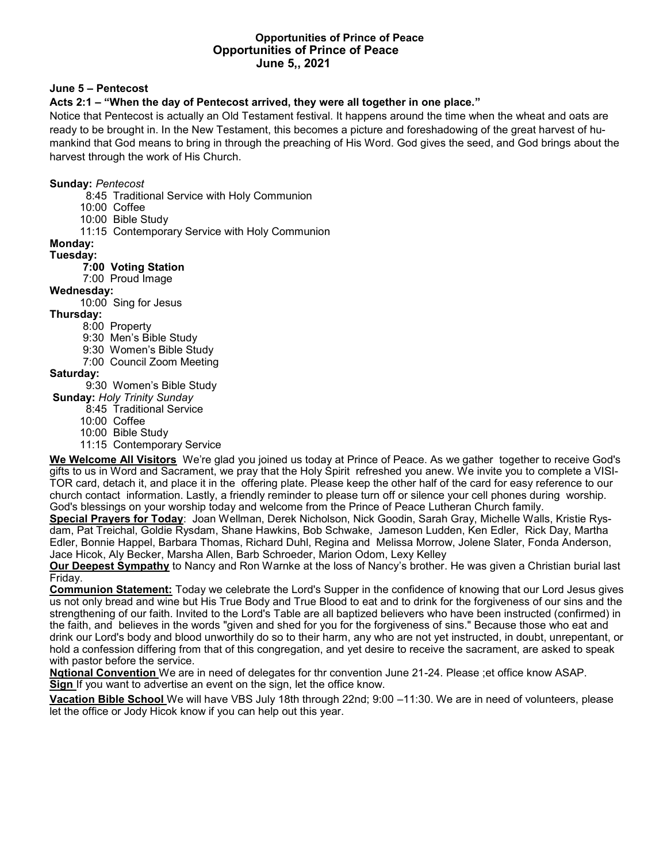#### **Opportunities of Prince of Peace Opportunities of Prince of Peace June 5,, 2021**

# **June 5 – Pentecost**

# **Acts 2:1 – "When the day of Pentecost arrived, they were all together in one place."**

Notice that Pentecost is actually an Old Testament festival. It happens around the time when the wheat and oats are ready to be brought in. In the New Testament, this becomes a picture and foreshadowing of the great harvest of humankind that God means to bring in through the preaching of His Word. God gives the seed, and God brings about the harvest through the work of His Church.

#### **Sunday:** *Pentecost*

- 8:45 Traditional Service with Holy Communion
- 10:00 Coffee
- 10:00 Bible Study
- 11:15 Contemporary Service with Holy Communion

## **Monday:**

#### **Tuesday:**

## **7:00 Voting Station**

7:00 Proud Image

## **Wednesday:**

10:00 Sing for Jesus

## **Thursday:**

- 8:00 Property
- 9:30 Men's Bible Study
- 9:30 Women's Bible Study
- 7:00 Council Zoom Meeting

# **Saturday:**

- 9:30 Women's Bible Study
- **Sunday:** *Holy Trinity Sunday*
	- 8:45 Traditional Service
	- 10:00 Coffee
	- 10:00 Bible Study
	- 11:15 Contemporary Service

**We Welcome All Visitors** We're glad you joined us today at Prince of Peace. As we gather together to receive God's gifts to us in Word and Sacrament, we pray that the Holy Spirit refreshed you anew. We invite you to complete a VISI-TOR card, detach it, and place it in the offering plate. Please keep the other half of the card for easy reference to our church contact information. Lastly, a friendly reminder to please turn off or silence your cell phones during worship. God's blessings on your worship today and welcome from the Prince of Peace Lutheran Church family.

**Special Prayers for Today**: Joan Wellman, Derek Nicholson, Nick Goodin, Sarah Gray, Michelle Walls, Kristie Rysdam, Pat Treichal, Goldie Rysdam, Shane Hawkins, Bob Schwake, Jameson Ludden, Ken Edler, Rick Day, Martha Edler, Bonnie Happel, Barbara Thomas, Richard Duhl, Regina and Melissa Morrow, Jolene Slater, Fonda Anderson, Jace Hicok, Aly Becker, Marsha Allen, Barb Schroeder, Marion Odom, Lexy Kelley

**Our Deepest Sympathy** to Nancy and Ron Warnke at the loss of Nancy's brother. He was given a Christian burial last Friday.

**Communion Statement:** Today we celebrate the Lord's Supper in the confidence of knowing that our Lord Jesus gives us not only bread and wine but His True Body and True Blood to eat and to drink for the forgiveness of our sins and the strengthening of our faith. Invited to the Lord's Table are all baptized believers who have been instructed (confirmed) in the faith, and believes in the words "given and shed for you for the forgiveness of sins." Because those who eat and drink our Lord's body and blood unworthily do so to their harm, any who are not yet instructed, in doubt, unrepentant, or hold a confession differing from that of this congregation, and yet desire to receive the sacrament, are asked to speak with pastor before the service.

**Nqtional Convention** We are in need of delegates for thr convention June 21-24. Please ;et office know ASAP. **Sign** If you want to advertise an event on the sign, let the office know.

**Vacation Bible School** We will have VBS July 18th through 22nd; 9:00 –11:30. We are in need of volunteers, please let the office or Jody Hicok know if you can help out this year.